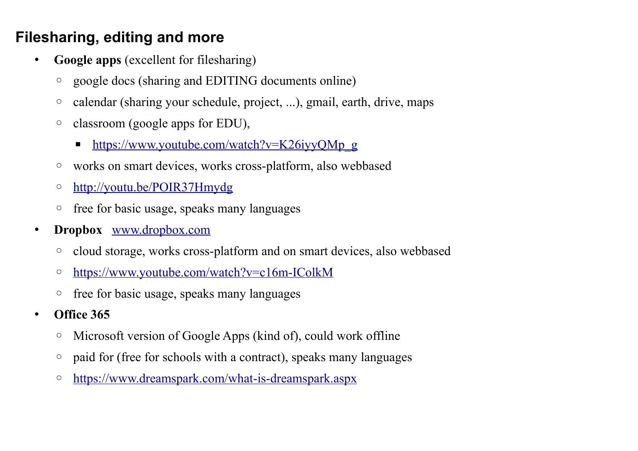## **Filesharing, editing and more**

- **Google apps** (excellent for filesharing)
	- google docs (sharing and EDITING documents online)
	- calendar (sharing your schedule, project, ...), gmail, earth, drive, maps
	- classroom (google apps for EDU),
		- https://www.youtube.com/watch?v=K26iyyQMp\_g
	- works on smart devices, works cross-platform, also webbased
	- ◦<http://youtu.be/POIR37Hmydg>
	- free for basic usage, speaks many languages
- **Dropbox** [www.dropbox.com](http://www.dropbox.com/)
	- cloud storage, works cross-platform and on smart devices, also webbased
	- ◦<https://www.youtube.com/watch?v=c16m-IColkM>
	- free for basic usage, speaks many languages
- **Office 365**
	- Microsoft version of Google Apps (kind of), could work offline
	- paid for (free for schools with a contract), speaks many languages
	- ◦<https://www.dreamspark.com/what-is-dreamspark.aspx>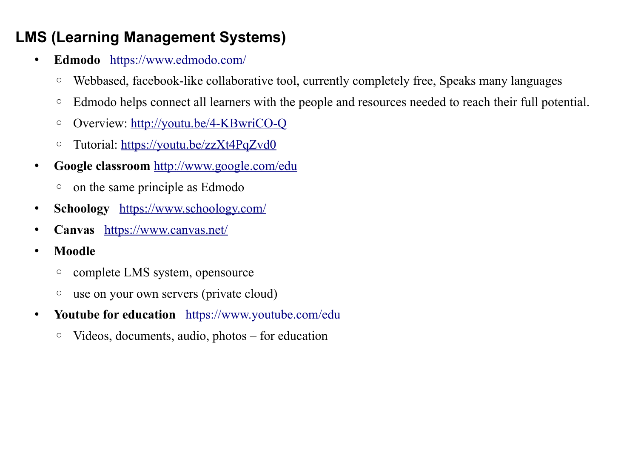## **LMS (Learning Management Systems)**

- **Edmodo** <https://www.edmodo.com/>
	- Webbased, facebook-like collaborative tool, currently completely free, Speaks many languages
	- Edmodo helps connect all learners with the people and resources needed to reach their full potential.
	- Overview:<http://youtu.be/4-KBwriCO-Q>
	- Tutorial:<https://youtu.be/zzXt4PqZvd0>
- **Google classroom** <http://www.google.com/edu>
	- on the same principle as Edmodo
- **Schoology** <https://www.schoology.com/>
- **Canvas** <https://www.canvas.net/>
- **Moodle**
	- complete LMS system, opensource
	- use on your own servers (private cloud)
- **Youtube for education** <https://www.youtube.com/edu>
	- Videos, documents, audio, photos for education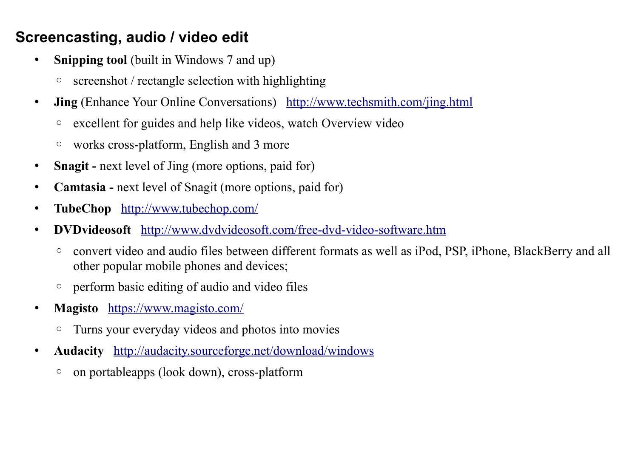#### **Screencasting, audio / video edit**

- **Snipping tool** (built in Windows 7 and up)
	- screenshot / rectangle selection with highlighting
- **Jing** (Enhance Your Online Conversations) <http://www.techsmith.com/jing.html>
	- excellent for guides and help like videos, watch Overview video
	- works cross-platform, English and 3 more
- **Snagit** next level of Jing (more options, paid for)
- **Camtasia** next level of Snagit (more options, paid for)
- **TubeChop** <http://www.tubechop.com/>
- **DVDvideosoft** <http://www.dvdvideosoft.com/free-dvd-video-software.htm>
	- convert video and audio files between different formats as well as iPod, PSP, iPhone, BlackBerry and all other popular mobile phones and devices;
	- perform basic editing of audio and video files
- **Magisto** <https://www.magisto.com/>
	- Turns your everyday videos and photos into movies
- **Audacity** <http://audacity.sourceforge.net/download/windows>
	- on portableapps (look down), cross-platform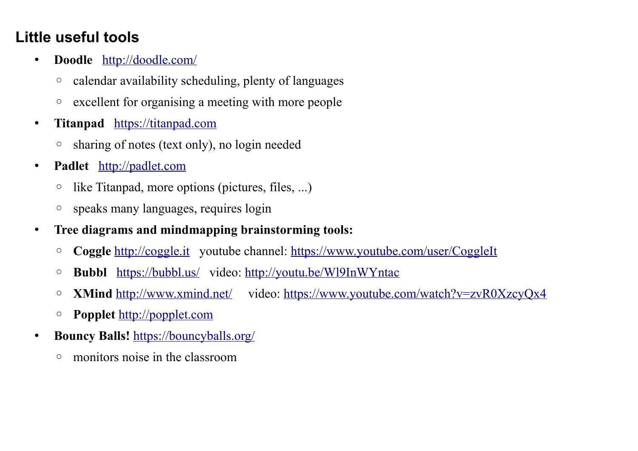## **Little useful tools**

- **Doodle** <http://doodle.com/>
	- calendar availability scheduling, plenty of languages
	- excellent for organising a meeting with more people
- **Titanpad** [https://titanpad.com](https://titanpad.com/)
	- sharing of notes (text only), no login needed
- **Padlet** http://padlet.com
	- like Titanpad, more options (pictures, files, ...)
	- speaks many languages, requires login
- **Tree diagrams and mindmapping brainstorming tools:**
	- **Coggle** [http://coggle.it](http://coggle.it/) youtube channel:<https://www.youtube.com/user/CoggleIt>
	- **Bubbl** <https://bubbl.us/>video:<http://youtu.be/Wl9InWYntac>
	- **XMind** <http://www.xmind.net/>video:<https://www.youtube.com/watch?v=zvR0XzcyQx4>
	- **Popplet** [http://popplet.com](http://popplet.com/)
- **Bouncy Balls!** <https://bouncyballs.org/>
	- monitors noise in the classroom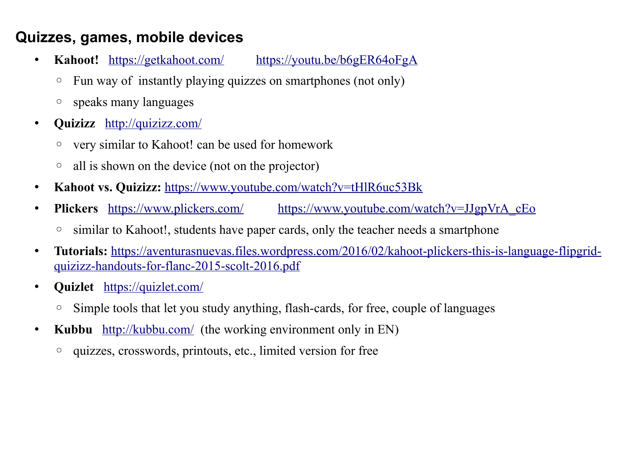#### **Quizzes, games, mobile devices**

- **Kahoot!** <https://getkahoot.com/> <https://youtu.be/b6gER64oFgA>
	- Fun way of instantly playing quizzes on smartphones (not only)
	- speaks many languages
- **Quizizz** <http://quizizz.com/>
	- very similar to Kahoot! can be used for homework
	- all is shown on the device (not on the projector)
- Kahoot vs. Quizizz: <https://www.youtube.com/watch?v=tHlR6uc53Bk>
- **Plickers** <https://www.plickers.com/> [https://www.youtube.com/watch?v=JJgpVrA\\_cEo](https://www.youtube.com/watch?v=JJgpVrA_cEo)
	- similar to Kahoot!, students have paper cards, only the teacher needs a smartphone
- **Tutorials:** [https://aventurasnuevas.files.wordpress.com/2016/02/kahoot-plickers-this-is-language-flipgrid](https://aventurasnuevas.files.wordpress.com/2016/02/kahoot-plickers-this-is-language-flipgrid-quizizz-handouts-for-flanc-2015-scolt-2016.pdf)[quizizz-handouts-for-flanc-2015-scolt-2016.pdf](https://aventurasnuevas.files.wordpress.com/2016/02/kahoot-plickers-this-is-language-flipgrid-quizizz-handouts-for-flanc-2015-scolt-2016.pdf)
- **Quizlet** <https://quizlet.com/>
	- Simple tools that let you study anything, flash-cards, for free, couple of languages
- **Kubbu** <u>http://kubbu.com/</u> (the working environment only in EN)
	- quizzes, crosswords, printouts, etc., limited version for free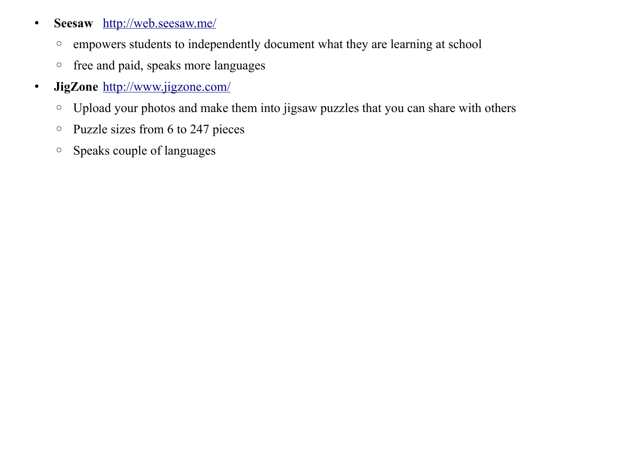- **Seesaw** <http://web.seesaw.me/>
	- empowers students to independently document what they are learning at school
	- free and paid, speaks more languages
- **JigZone** <http://www.jigzone.com/>
	- Upload your photos and make them into jigsaw puzzles that you can share with others
	- Puzzle sizes from 6 to 247 pieces
	- Speaks couple of languages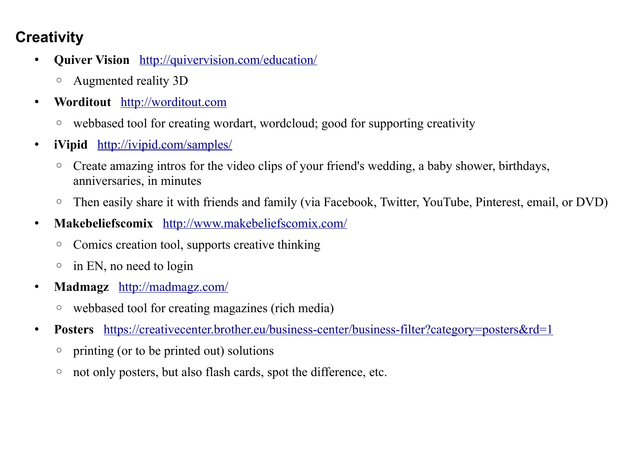# **Creativity**

- **Quiver Vision** <http://quivervision.com/education/>
	- Augmented reality 3D
- **Worditout** [http://worditout.com](http://worditout.com/)
	- webbased tool for creating wordart, wordcloud; good for supporting creativity
- **iVipid** <http://ivipid.com/samples/>
	- Create amazing intros for the video clips of your friend's wedding, a baby shower, birthdays, anniversaries, in minutes
	- Then easily share it with friends and family (via Facebook, Twitter, YouTube, Pinterest, email, or DVD)
- **Makebeliefscomix** <http://www.makebeliefscomix.com/>
	- Comics creation tool, supports creative thinking
	- in EN, no need to login
- **Madmagz** <http://madmagz.com/>
	- webbased tool for creating magazines (rich media)
- **Posters** <https://creativecenter.brother.eu/business-center/business-filter?category=posters&rd=1>
	- printing (or to be printed out) solutions
	- not only posters, but also flash cards, spot the difference, etc.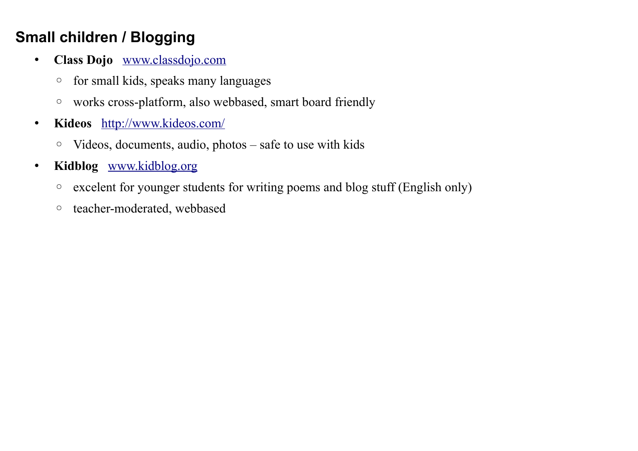# **Small children / Blogging**

- **Class Dojo** [www.classdojo.com](http://www.classdojo.com/)
	- for small kids, speaks many languages
	- works cross-platform, also webbased, smart board friendly
- **Kideos** <http://www.kideos.com/>
	- Videos, documents, audio, photos safe to use with kids
- **Kidblog** [www.kidblog.org](http://www.kidblog.org/)
	- excelent for younger students for writing poems and blog stuff (English only)
	- teacher-moderated, webbased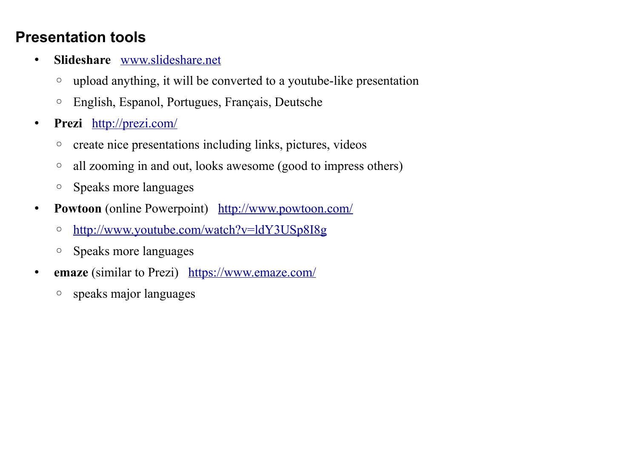#### **Presentation tools**

- **Slideshare** [www.slideshare.net](http://www.slideshare.net/)
	- upload anything, it will be converted to a youtube-like presentation
	- English, Espanol, Portugues, Français, Deutsche
- **Prezi** <http://prezi.com/>
	- create nice presentations including links, pictures, videos
	- all zooming in and out, looks awesome (good to impress others)
	- Speaks more languages
- **Powtoon** (online Powerpoint) <http://www.powtoon.com/>
	- ◦<http://www.youtube.com/watch?v=ldY3USp8I8g>
	- Speaks more languages
- **emaze** (similar to Prezi) <https://www.emaze.com/>
	- speaks major languages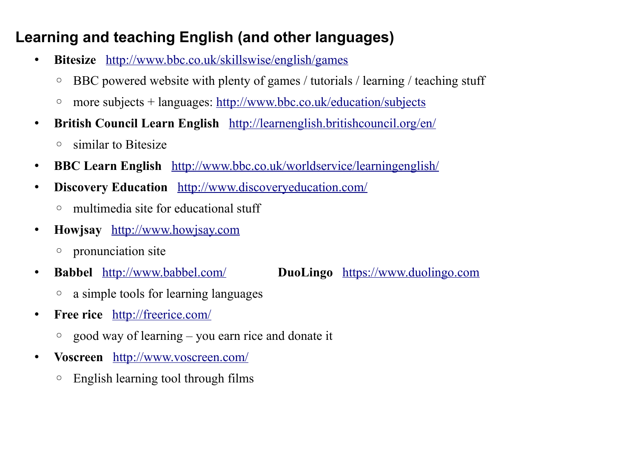## **Learning and teaching English (and other languages)**

- **Bitesize** <http://www.bbc.co.uk/skillswise/english/games>
	- BBC powered website with plenty of games / tutorials / learning / teaching stuff
	- more subjects + languages:<http://www.bbc.co.uk/education/subjects>
- **British Council Learn English** <http://learnenglish.britishcouncil.org/en/>
	- similar to Bitesize
- **BBC Learn English** <http://www.bbc.co.uk/worldservice/learningenglish/>
- **Discovery Education** <http://www.discoveryeducation.com/>
	- multimedia site for educational stuff
- **Howjsay** [http://www.howjsay.com](http://www.howjsay.com/)
	- pronunciation site
- 

#### • **Babbel** <http://www.babbel.com/> **DuoLingo** [https://www.duolingo.com](https://www.duolingo.com/)

- a simple tools for learning languages
- **Free rice** <http://freerice.com/>
	- good way of learning you earn rice and donate it
- **Voscreen** <http://www.voscreen.com/>
	- English learning tool through films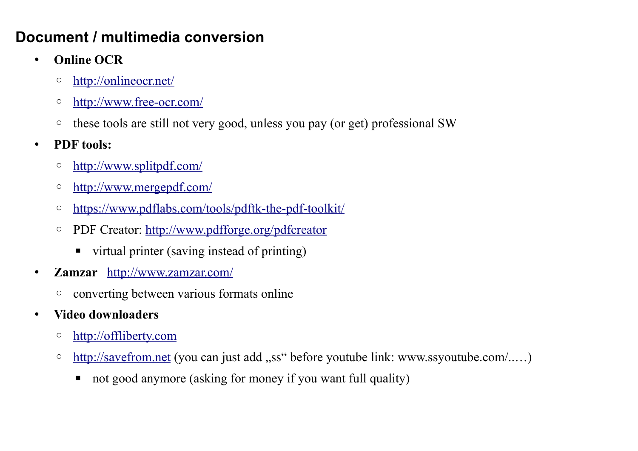### **Document / multimedia conversion**

- **Online OCR**
	- ◦<http://onlineocr.net/>
	- ◦<http://www.free-ocr.com/>
	- these tools are still not very good, unless you pay (or get) professional SW
- **PDF tools:**
	- ◦<http://www.splitpdf.com/>
	- ◦<http://www.mergepdf.com/>
	- <https://www.pdflabs.com/tools/pdftk-the-pdf-toolkit/>
	- PDF Creator:<http://www.pdfforge.org/pdfcreator>
		- virtual printer (saving instead of printing)
- **Zamzar** <http://www.zamzar.com/>
	- converting between various formats online
- **Video downloaders**
	- ◦ [http://offliberty.com](http://offliberty.com/)
	- ○ [http://savefrom.net](http://savefrom.net/) (you can just add "ss" before youtube link: www.ssyoutube.com/.....)
		- not good anymore (asking for money if you want full quality)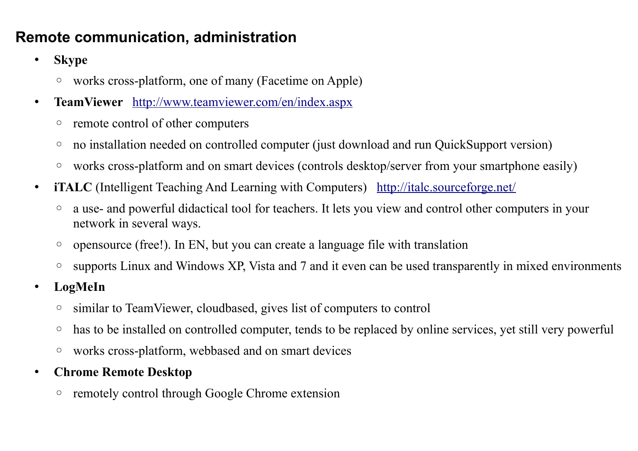## **Remote communication, administration**

- **Skype**
	- works cross-platform, one of many (Facetime on Apple)
- **TeamViewer** <http://www.teamviewer.com/en/index.aspx>
	- remote control of other computers
	- no installation needed on controlled computer (just download and run QuickSupport version)
	- works cross-platform and on smart devices (controls desktop/server from your smartphone easily)
- **iTALC** (Intelligent Teaching And Learning with Computers) <http://italc.sourceforge.net/>
	- a use- and powerful didactical tool for teachers. It lets you view and control other computers in your network in several ways.
	- opensource (free!). In EN, but you can create a language file with translation
	- supports Linux and Windows XP, Vista and 7 and it even can be used transparently in mixed environments
- **LogMeIn**
	- similar to TeamViewer, cloudbased, gives list of computers to control
	- has to be installed on controlled computer, tends to be replaced by online services, yet still very powerful
	- works cross-platform, webbased and on smart devices
- **Chrome Remote Desktop**
	- remotely control through Google Chrome extension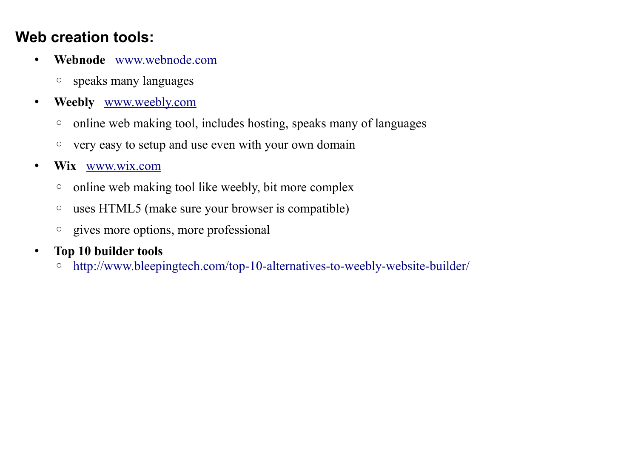### **Web creation tools:**

- **Webnode** [www.webnode.com](http://www.webnode.com/)
	- speaks many languages
- **Weebly** [www.weebly.com](http://www.weebly.com/)
	- online web making tool, includes hosting, speaks many of languages
	- very easy to setup and use even with your own domain
- **Wix** [www.wix.com](http://www.wix.com/)
	- online web making tool like weebly, bit more complex
	- uses HTML5 (make sure your browser is compatible)
	- gives more options, more professional
- **Top 10 builder tools**
	- ◦<http://www.bleepingtech.com/top-10-alternatives-to-weebly-website-builder/>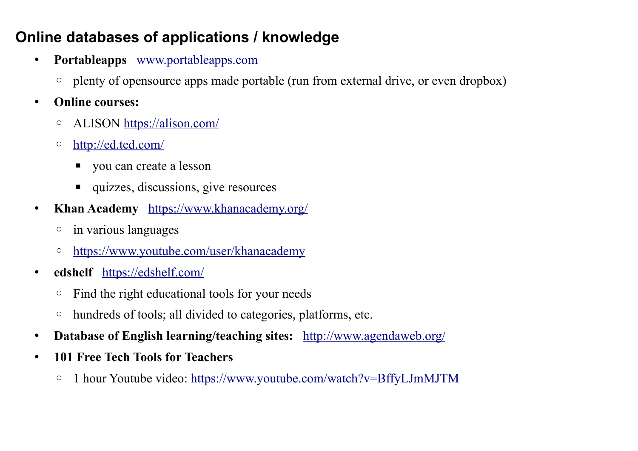# **Online databases of applications / knowledge**

- **Portableapps** [www.portableapps.com](http://www.portableapps.com/)
	- plenty of opensource apps made portable (run from external drive, or even dropbox)
- **Online courses:**
	- ALISON<https://alison.com/>
	- ◦<http://ed.ted.com/>
		- you can create a lesson
		- quizzes, discussions, give resources
- **Khan Academy** <https://www.khanacademy.org/>
	- in various languages
	- ◦<https://www.youtube.com/user/khanacademy>
- **edshelf** <https://edshelf.com/>
	- Find the right educational tools for your needs
	- hundreds of tools; all divided to categories, platforms, etc.
- Database of English learning/teaching sites: <http://www.agendaweb.org/>
- **101 Free Tech Tools for Teachers**
	- 1 hour Youtube video:<https://www.youtube.com/watch?v=BffyLJmMJTM>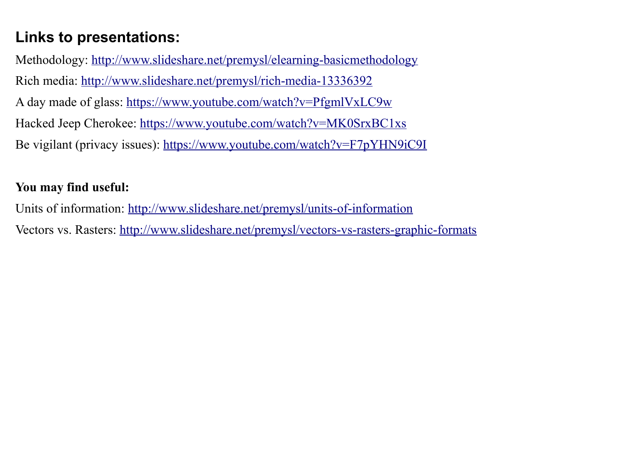# **Links to presentations:**

Methodology:<http://www.slideshare.net/premysl/elearning-basicmethodology> Rich media:<http://www.slideshare.net/premysl/rich-media-13336392> A day made of glass:<https://www.youtube.com/watch?v=PfgmlVxLC9w> Hacked Jeep Cherokee:<https://www.youtube.com/watch?v=MK0SrxBC1xs> Be vigilant (privacy issues):<https://www.youtube.com/watch?v=F7pYHN9iC9I>

#### **You may find useful:**

Units of information:<http://www.slideshare.net/premysl/units-of-information> Vectors vs. Rasters:<http://www.slideshare.net/premysl/vectors-vs-rasters-graphic-formats>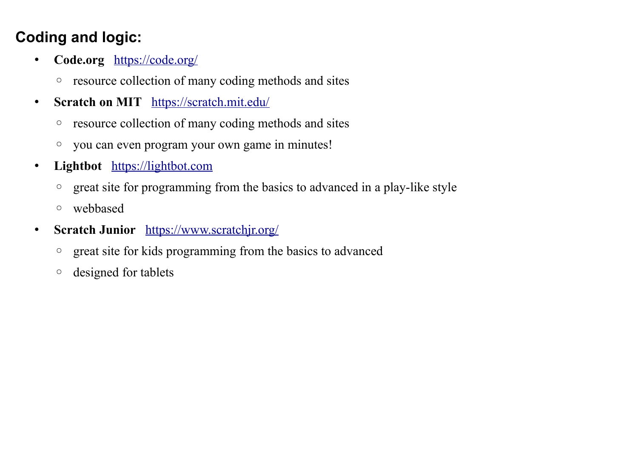# **Coding and logic:**

- **Code.org** <https://code.org/>
	- resource collection of many coding methods and sites
- **Scratch on MIT** <https://scratch.mit.edu/>
	- resource collection of many coding methods and sites
	- you can even program your own game in minutes!
- **Lightbot** [https://lightbot.com](https://lightbot.com/)
	- great site for programming from the basics to advanced in a play-like style
	- webbased
- **Scratch Junior** <https://www.scratchjr.org/>
	- great site for kids programming from the basics to advanced
	- designed for tablets